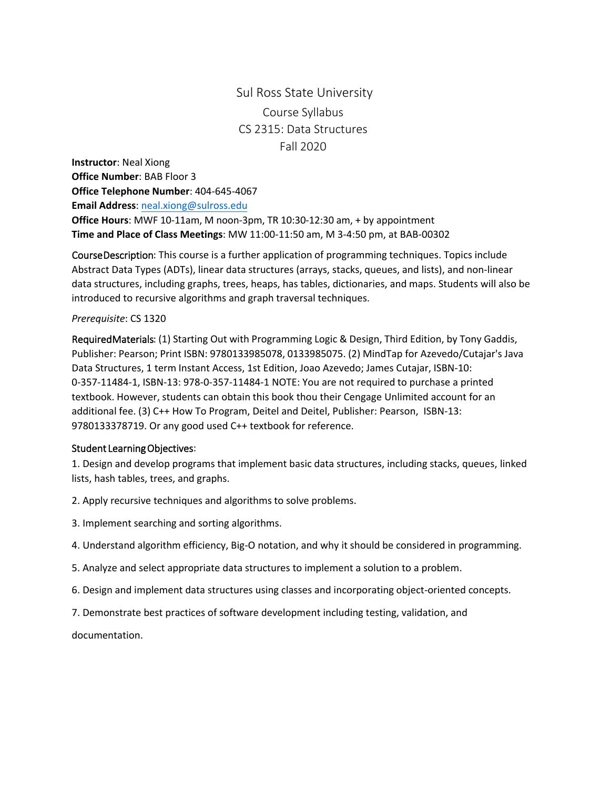## Sul Ross State University Course Syllabus CS 2315: Data Structures Fall 2020

**Instructor**: Neal Xiong **Office Number**: BAB Floor 3 **Office Telephone Number**: 404-645-4067 **Email Address**: neal.xiong[@sulross.edu](mailto:adriana.lumpkin@sulross.edu) **Office Hours**: MWF 10-11am, M noon-3pm, TR 10:30-12:30 am, + by appointment **Time and Place of Class Meetings**: MW 11:00-11:50 am, M 3-4:50 pm, at BAB-00302

Course Description: This course is a further application of programming techniques. Topics include Abstract Data Types (ADTs), linear data structures (arrays, stacks, queues, and lists), and non-linear data structures, including graphs, trees, heaps, has tables, dictionaries, and maps. Students will also be introduced to recursive algorithms and graph traversal techniques.

## *Prerequisite*: CS 1320

Required Materials: (1) Starting Out with Programming Logic & Design, Third Edition, by Tony Gaddis, Publisher: Pearson; Print ISBN: 9780133985078, 0133985075. (2) MindTap for Azevedo/Cutajar's Java Data Structures, 1 term Instant Access, 1st Edition, Joao Azevedo; James Cutajar, ISBN-10: 0-357-11484-1, ISBN-13: 978-0-357-11484-1 NOTE: You are not required to purchase a printed textbook. However, students can obtain this book thou their Cengage Unlimited account for an additional fee. (3) C++ How To Program, Deitel and Deitel, Publisher: Pearson, ISBN-13: 9780133378719. Or any good used C++ textbook for reference.

## Student Learning Objectives:

1. Design and develop programs that implement basic data structures, including stacks, queues, linked lists, hash tables, trees, and graphs.

- 2. Apply recursive techniques and algorithms to solve problems.
- 3. Implement searching and sorting algorithms.
- 4. Understand algorithm efficiency, Big-O notation, and why it should be considered in programming.
- 5. Analyze and select appropriate data structures to implement a solution to a problem.
- 6. Design and implement data structures using classes and incorporating object-oriented concepts.
- 7. Demonstrate best practices of software development including testing, validation, and

documentation.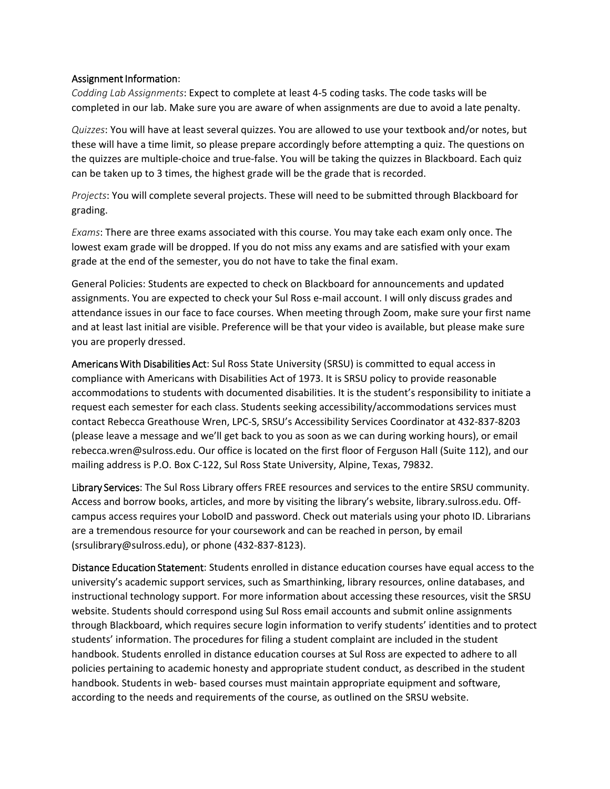## Assignment Information:

*Codding Lab Assignments*: Expect to complete at least 4-5 coding tasks. The code tasks will be completed in our lab. Make sure you are aware of when assignments are due to avoid a late penalty.

*Quizzes*: You will have at least several quizzes. You are allowed to use your textbook and/or notes, but these will have a time limit, so please prepare accordingly before attempting a quiz. The questions on the quizzes are multiple-choice and true-false. You will be taking the quizzes in Blackboard. Each quiz can be taken up to 3 times, the highest grade will be the grade that is recorded.

*Projects*: You will complete several projects. These will need to be submitted through Blackboard for grading.

*Exams*: There are three exams associated with this course. You may take each exam only once. The lowest exam grade will be dropped. If you do not miss any exams and are satisfied with your exam grade at the end of the semester, you do not have to take the final exam.

General Policies: Students are expected to check on Blackboard for announcements and updated assignments. You are expected to check your Sul Ross e-mail account. I will only discuss grades and attendance issues in our face to face courses. When meeting through Zoom, make sure your first name and at least last initial are visible. Preference will be that your video is available, but please make sure you are properly dressed.

Americans With Disabilities Act: Sul Ross State University (SRSU) is committed to equal access in compliance with Americans with Disabilities Act of 1973. It is SRSU policy to provide reasonable accommodations to students with documented disabilities. It is the student's responsibility to initiate a request each semester for each class. Students seeking accessibility/accommodations services must contact Rebecca Greathouse Wren, LPC-S, SRSU's Accessibility Services Coordinator at 432-837-8203 (please leave a message and we'll get back to you as soon as we can during working hours), or email rebecca.wren@sulross.edu. Our office is located on the first floor of Ferguson Hall (Suite 112), and our mailing address is P.O. Box C-122, Sul Ross State University, Alpine, Texas, 79832.

Library Services: The Sul Ross Library offers FREE resources and services to the entire SRSU community. Access and borrow books, articles, and more by visiting the library's website, library.sulross.edu. Offcampus access requires your LoboID and password. Check out materials using your photo ID. Librarians are a tremendous resource for your coursework and can be reached in person, by email (srsulibrary@sulross.edu), or phone (432-837-8123).

Distance Education Statement: Students enrolled in distance education courses have equal access to the university's academic support services, such as Smarthinking, library resources, online databases, and instructional technology support. For more information about accessing these resources, visit the SRSU website. Students should correspond using Sul Ross email accounts and submit online assignments through Blackboard, which requires secure login information to verify students' identities and to protect students' information. The procedures for filing a student complaint are included in the student handbook. Students enrolled in distance education courses at Sul Ross are expected to adhere to all policies pertaining to academic honesty and appropriate student conduct, as described in the student handbook. Students in web- based courses must maintain appropriate equipment and software, according to the needs and requirements of the course, as outlined on the SRSU website.